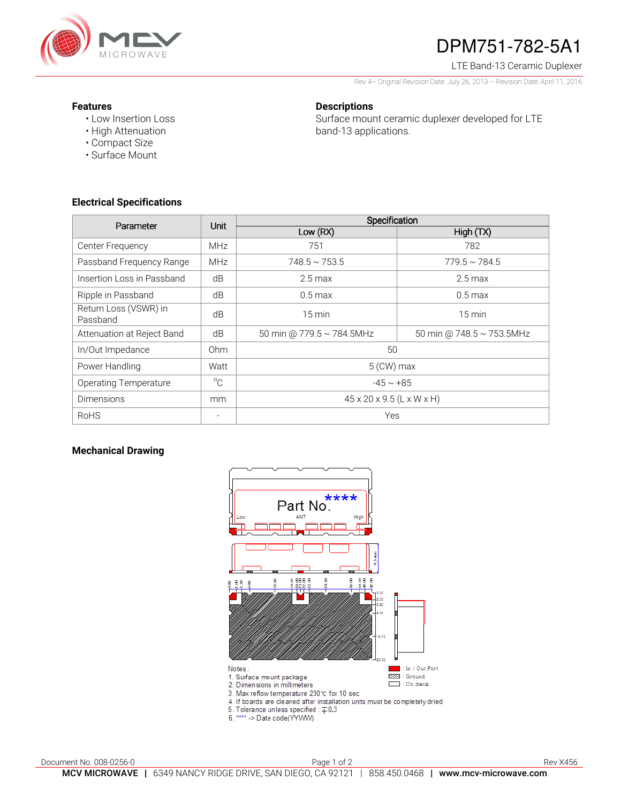

# DPM751-782-5A1

LTE Band-13 Ceramic Duplexer

Rev 4– Original Revision Date: July 26, 2013 – Revision Date: April 11, 2016

#### **Features**

• Low Insertion Loss • High Attenuation

• Compact Size • Surface Mount

### **Descriptions**

Surface mount ceramic duplexer developed for LTE band-13 applications.

## **Electrical Specifications**

| Parameter                         | <b>Unit</b> | Specification                         |                           |
|-----------------------------------|-------------|---------------------------------------|---------------------------|
|                                   |             | Low (RX)                              | High(TX)                  |
| Center Frequency                  | <b>MHz</b>  | 751                                   | 782                       |
| Passband Frequency Range          | <b>MHz</b>  | $748.5 \sim 753.5$                    | $779.5 \sim 784.5$        |
| Insertion Loss in Passband        | dB          | $2.5$ max                             | $2.5 \,\mathrm{max}$      |
| Ripple in Passband                | dB          | $0.5 \text{ max}$                     | $0.5 \,\mathrm{max}$      |
| Return Loss (VSWR) in<br>Passband | dB          | $15 \text{ min}$                      | $15 \,\mathrm{min}$       |
| Attenuation at Reject Band        | dB          | 50 min @ 779.5 ~ 784.5MHz             | 50 min @ 748.5 ~ 753.5MHz |
| In/Out Impedance                  | 0hm         | 50                                    |                           |
| Power Handling                    | Watt        | $5$ (CW) max                          |                           |
| <b>Operating Temperature</b>      | $^{\circ}C$ | $-45 \sim +85$                        |                           |
| <b>Dimensions</b>                 | mm          | $45 \times 20 \times 9.5$ (L x W x H) |                           |
| <b>RoHS</b>                       | $\equiv$    | Yes                                   |                           |

#### **Mechanical Drawing**